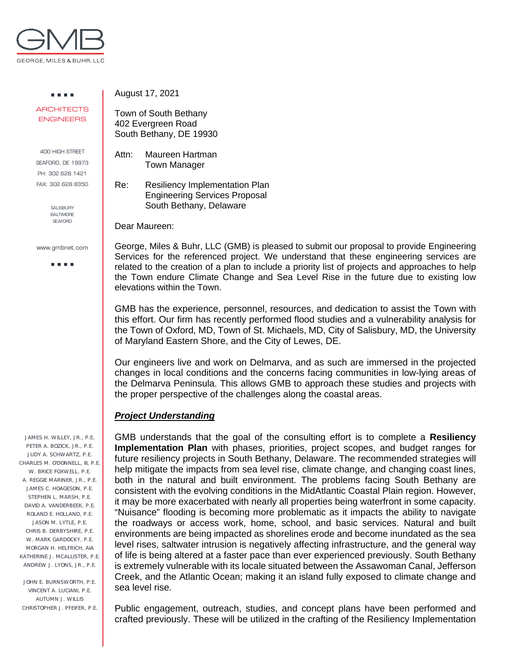

. . . . **ARCHITECTS** ENGINEERS

400 HIGH STREET SEAFORD, DE 19973 PH: 302.628.1421 FAX: 302.628.8350

> SALISBURY **BALTIMORE SEAFORD**

www.gmbnet.com

a a sua

 JAMES H. WILLEY, JR., P.E. PETER A. BOZICK, JR., P.E. JUDY A. SCHWARTZ, P.E. CHARLES M. O'DONNELL, III, P.E. W. BRICE FOXWELL, P.E. A. REGGIE MARINER, JR., P.E. JAMES C. HOAGESON, P.E. STEPHEN L. MARSH, P.E. DAVID A. VANDERBEEK, P.E. ROLAND E. HOLLAND, P.E. JASON M. LYTLE, P.E. CHRIS B. DERBYSHIRE, P.E. W. MARK GARDOCKY, P.E. MORGAN H. HELFRICH, AIA KATHERINE J. MCALLISTER, P.E. ANDREW J. LYONS, JR., P.E.

 JOHN E. BURNSWORTH, P.E. VINCENT A. LUCIANI, P.E. AUTUMN J. WILLIS CHRISTOPHER J. PFEIFER, P.E. August 17, 2021

Town of South Bethany 402 Evergreen Road South Bethany, DE 19930

Attn: Maureen Hartman Town Manager

Re: Resiliency Implementation Plan Engineering Services Proposal South Bethany, Delaware

Dear Maureen:

George, Miles & Buhr, LLC (GMB) is pleased to submit our proposal to provide Engineering Services for the referenced project. We understand that these engineering services are related to the creation of a plan to include a priority list of projects and approaches to help the Town endure Climate Change and Sea Level Rise in the future due to existing low elevations within the Town.

GMB has the experience, personnel, resources, and dedication to assist the Town with this effort. Our firm has recently performed flood studies and a vulnerability analysis for the Town of Oxford, MD, Town of St. Michaels, MD, City of Salisbury, MD, the University of Maryland Eastern Shore, and the City of Lewes, DE.

Our engineers live and work on Delmarva, and as such are immersed in the projected changes in local conditions and the concerns facing communities in low-lying areas of the Delmarva Peninsula. This allows GMB to approach these studies and projects with the proper perspective of the challenges along the coastal areas.

## *Project Understanding*

GMB understands that the goal of the consulting effort is to complete a **Resiliency Implementation Plan** with phases, priorities, project scopes, and budget ranges for future resiliency projects in South Bethany, Delaware. The recommended strategies will help mitigate the impacts from sea level rise, climate change, and changing coast lines, both in the natural and built environment. The problems facing South Bethany are consistent with the evolving conditions in the MidAtlantic Coastal Plain region. However, it may be more exacerbated with nearly all properties being waterfront in some capacity. "Nuisance" flooding is becoming more problematic as it impacts the ability to navigate the roadways or access work, home, school, and basic services. Natural and built environments are being impacted as shorelines erode and become inundated as the sea level rises, saltwater intrusion is negatively affecting infrastructure, and the general way of life is being altered at a faster pace than ever experienced previously. South Bethany is extremely vulnerable with its locale situated between the Assawoman Canal, Jefferson Creek, and the Atlantic Ocean; making it an island fully exposed to climate change and sea level rise.

Public engagement, outreach, studies, and concept plans have been performed and crafted previously. These will be utilized in the crafting of the Resiliency Implementation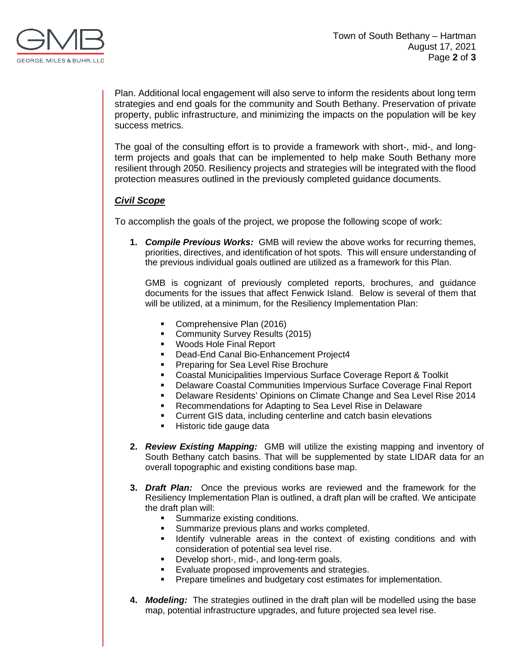

Plan. Additional local engagement will also serve to inform the residents about long term strategies and end goals for the community and South Bethany. Preservation of private property, public infrastructure, and minimizing the impacts on the population will be key success metrics.

The goal of the consulting effort is to provide a framework with short-, mid-, and longterm projects and goals that can be implemented to help make South Bethany more resilient through 2050. Resiliency projects and strategies will be integrated with the flood protection measures outlined in the previously completed guidance documents.

## *Civil Scope*

To accomplish the goals of the project, we propose the following scope of work:

**1.** *Compile Previous Works:* GMB will review the above works for recurring themes, priorities, directives, and identification of hot spots. This will ensure understanding of the previous individual goals outlined are utilized as a framework for this Plan.

GMB is cognizant of previously completed reports, brochures, and guidance documents for the issues that affect Fenwick Island. Below is several of them that will be utilized, at a minimum, for the Resiliency Implementation Plan:

- Comprehensive Plan (2016)
- Community Survey Results (2015)
- **Woods Hole Final Report**
- **Dead-End Canal Bio-Enhancement Project4**
- **Preparing for Sea Level Rise Brochure**
- **Coastal Municipalities Impervious Surface Coverage Report & Toolkit**<br> **Delaware Coastal Communities Impervious Surface Coverage Final R**
- Delaware Coastal Communities Impervious Surface Coverage Final Report
- Delaware Residents' Opinions on Climate Change and Sea Level Rise 2014
- **Recommendations for Adapting to Sea Level Rise in Delaware**
- Current GIS data, including centerline and catch basin elevations
- **Historic tide gauge data**
- **2.** *Review Existing Mapping:* GMB will utilize the existing mapping and inventory of South Bethany catch basins. That will be supplemented by state LIDAR data for an overall topographic and existing conditions base map.
- **3.** *Draft Plan:* Once the previous works are reviewed and the framework for the Resiliency Implementation Plan is outlined, a draft plan will be crafted. We anticipate the draft plan will:
	- **Summarize existing conditions.**
	- Summarize previous plans and works completed.
	- **IDENTIFY** vulnerable areas in the context of existing conditions and with consideration of potential sea level rise.
	- Develop short-, mid-, and long-term goals.<br>Evaluate proposed improvements and strain-
	- Evaluate proposed improvements and strategies.
	- Prepare timelines and budgetary cost estimates for implementation.
- **4.** *Modeling:* The strategies outlined in the draft plan will be modelled using the base map, potential infrastructure upgrades, and future projected sea level rise.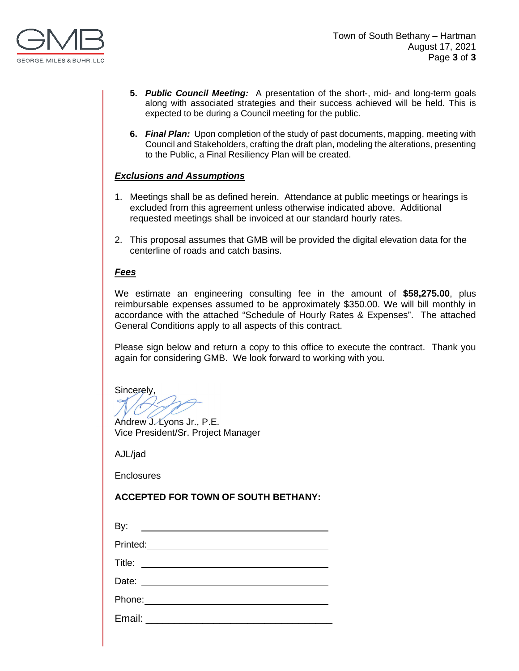

- **5.** *Public Council Meeting:* A presentation of the short-, mid- and long-term goals along with associated strategies and their success achieved will be held. This is expected to be during a Council meeting for the public.
- **6.** *Final Plan:* Upon completion of the study of past documents, mapping, meeting with Council and Stakeholders, crafting the draft plan, modeling the alterations, presenting to the Public, a Final Resiliency Plan will be created.

## *Exclusions and Assumptions*

- 1. Meetings shall be as defined herein. Attendance at public meetings or hearings is excluded from this agreement unless otherwise indicated above. Additional requested meetings shall be invoiced at our standard hourly rates.
- 2. This proposal assumes that GMB will be provided the digital elevation data for the centerline of roads and catch basins.

## *Fees*

We estimate an engineering consulting fee in the amount of **\$58,275.00**, plus reimbursable expenses assumed to be approximately \$350.00. We will bill monthly in accordance with the attached "Schedule of Hourly Rates & Expenses". The attached General Conditions apply to all aspects of this contract.

Please sign below and return a copy to this office to execute the contract. Thank you again for considering GMB. We look forward to working with you.

Sincerely,

Andrew J. Lyons Jr., P.E.

Vice President/Sr. Project Manager

AJL/jad

**Enclosures** 

## **ACCEPTED FOR TOWN OF SOUTH BETHANY:**

| By:<br><u> 1989 - Andrea Station Barbara (</u>                                                                                 |  |
|--------------------------------------------------------------------------------------------------------------------------------|--|
| Printed: <u>Communication</u>                                                                                                  |  |
| Title:<br><u> 1989 - Andrea Brandenburg, martin de la populación de la propia de la propia de la propia de la propia de la</u> |  |
| Date: ________________________________                                                                                         |  |
| Phone:______ <b>________________</b> _                                                                                         |  |
| Email:                                                                                                                         |  |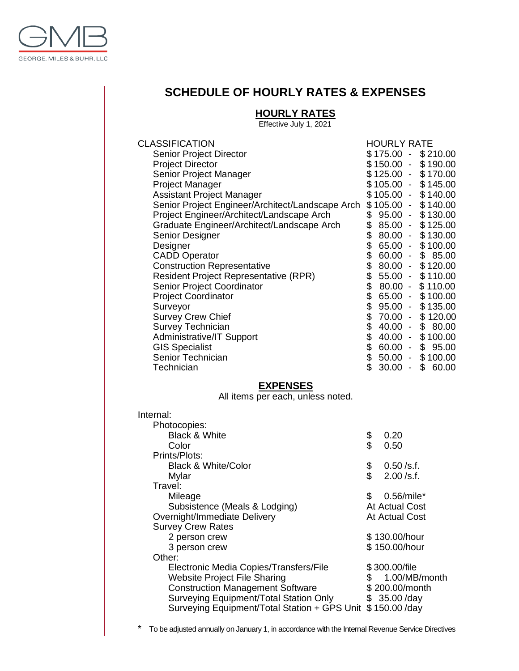

# **SCHEDULE OF HOURLY RATES & EXPENSES**

## **HOURLY RATES**

Effective July 1, 2021

| <b>CLASSIFICATION</b>                            | <b>HOURLY RATE</b> |                          |             |
|--------------------------------------------------|--------------------|--------------------------|-------------|
| Senior Project Director                          | \$175.00           |                          | \$210.00    |
| <b>Project Director</b>                          | $$150.00 -$        |                          | \$190.00    |
| Senior Project Manager                           | $$125.00 -$        |                          | \$170.00    |
| <b>Project Manager</b>                           | $$105.00 -$        |                          | \$145.00    |
| <b>Assistant Project Manager</b>                 | $$105.00 -$        |                          | \$140.00    |
| Senior Project Engineer/Architect/Landscape Arch | $$105.00 -$        |                          | \$140.00    |
| Project Engineer/Architect/Landscape Arch        | \$<br>$95.00 -$    |                          | \$130.00    |
| Graduate Engineer/Architect/Landscape Arch       | \$<br>$85.00 -$    |                          | \$125.00    |
| Senior Designer                                  | \$<br>$80.00 -$    |                          | \$130.00    |
| Designer                                         | \$<br>$65.00 -$    |                          | \$100.00    |
| <b>CADD Operator</b>                             | \$<br>$60.00 -$    |                          | \$85.00     |
| <b>Construction Representative</b>               | \$<br>$80.00 -$    |                          | \$120.00    |
| <b>Resident Project Representative (RPR)</b>     | \$<br>$55.00 -$    |                          | \$110.00    |
| Senior Project Coordinator                       | \$<br>$80.00 -$    |                          | \$110.00    |
| <b>Project Coordinator</b>                       | \$<br>$65.00 -$    |                          | \$100.00    |
| Surveyor                                         | \$<br>$95.00 -$    |                          | \$135.00    |
| <b>Survey Crew Chief</b>                         | \$<br>$70.00 -$    |                          | \$120.00    |
| Survey Technician                                | \$<br>$40.00 -$    |                          | \$80.00     |
| <b>Administrative/IT Support</b>                 | \$<br>$40.00 -$    |                          | \$100.00    |
| <b>GIS Specialist</b>                            | \$<br>$60.00 -$    |                          | \$95.00     |
| Senior Technician                                | \$<br>$50.00 -$    |                          | \$100.00    |
| Technician                                       | \$<br>30.00        | $\overline{\phantom{a}}$ | \$<br>60.00 |
|                                                  |                    |                          |             |

### **EXPENSES**

All items per each, unless noted.

| Internal:                                    |          |                |
|----------------------------------------------|----------|----------------|
| Photocopies:                                 |          |                |
| <b>Black &amp; White</b>                     | \$       | 0.20           |
| Color                                        | \$       | 0.50           |
| Prints/Plots:                                |          |                |
| <b>Black &amp; White/Color</b>               | \$<br>\$ | $0.50$ /s.f.   |
| Mylar                                        |          | $2.00$ /s.f.   |
| Travel:                                      |          |                |
| Mileage                                      | \$       | 0.56/mile*     |
| Subsistence (Meals & Lodging)                |          | At Actual Cost |
| Overnight/Immediate Delivery                 |          | At Actual Cost |
| <b>Survey Crew Rates</b>                     |          |                |
| 2 person crew                                |          | \$130.00/hour  |
| 3 person crew                                |          | \$150.00/hour  |
| Other:                                       |          |                |
| Electronic Media Copies/Transfers/File       |          | \$300.00/file  |
| <b>Website Project File Sharing</b>          | \$       | 1.00/MB/month  |
| <b>Construction Management Software</b>      |          | \$200.00/month |
| Surveying Equipment/Total Station Only       |          | \$35.00/day    |
| Surveying Equipment/Total Station + GPS Unit |          | \$150.00/day   |
|                                              |          |                |

\* To be adjusted annually on January 1, in accordance with the Internal Revenue Service Directives